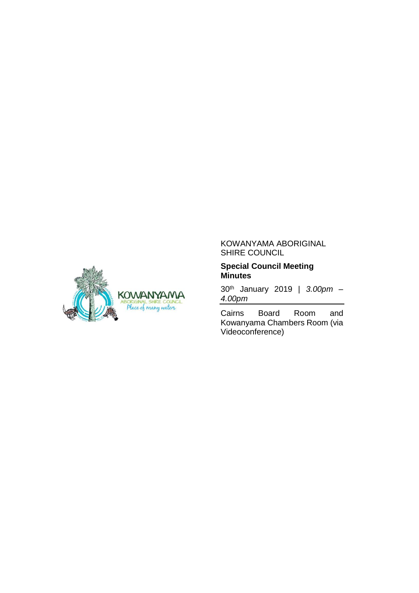

#### KOWANYAMA ABORIGINAL SHIRE COUNCIL

#### **Special Council Meeting Minutes**

30th January 2019 | *3.00pm – 4.00pm*

Cairns Board Room and Kowanyama Chambers Room (via Videoconference)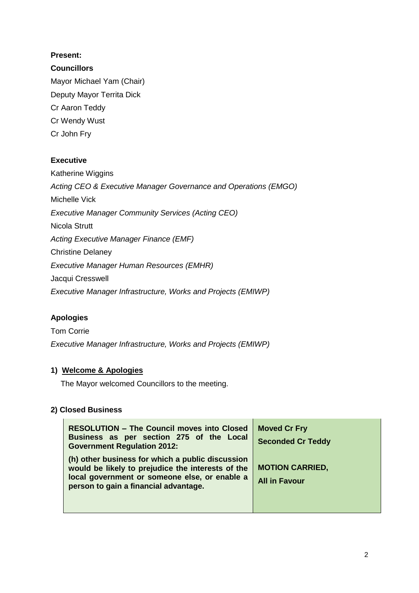## **Present:**

### **Councillors**

Mayor Michael Yam (Chair) Deputy Mayor Territa Dick Cr Aaron Teddy Cr Wendy Wust Cr John Fry

### **Executive**

Katherine Wiggins *Acting CEO & Executive Manager Governance and Operations (EMGO)* Michelle Vick *Executive Manager Community Services (Acting CEO)* Nicola Strutt *Acting Executive Manager Finance (EMF)* Christine Delaney *Executive Manager Human Resources (EMHR)* Jacqui Cresswell *Executive Manager Infrastructure, Works and Projects (EMIWP)*

## **Apologies**

Tom Corrie *Executive Manager Infrastructure, Works and Projects (EMIWP)*

## **1) Welcome & Apologies**

The Mayor welcomed Councillors to the meeting.

#### **2) Closed Business**

| <b>RESOLUTION - The Council moves into Closed</b><br>Business as per section 275 of the Local<br><b>Government Regulation 2012:</b>                                                             | <b>Moved Cr Fry</b><br><b>Seconded Cr Teddy</b> |
|-------------------------------------------------------------------------------------------------------------------------------------------------------------------------------------------------|-------------------------------------------------|
| (h) other business for which a public discussion<br>would be likely to prejudice the interests of the<br>local government or someone else, or enable a<br>person to gain a financial advantage. | <b>MOTION CARRIED,</b><br><b>All in Favour</b>  |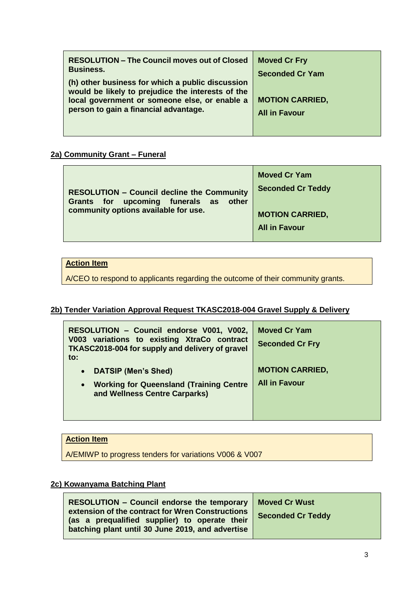| <b>RESOLUTION – The Council moves out of Closed</b><br><b>Business.</b>                                                                                                                         | <b>Moved Cr Fry</b>                            |
|-------------------------------------------------------------------------------------------------------------------------------------------------------------------------------------------------|------------------------------------------------|
|                                                                                                                                                                                                 | <b>Seconded Cr Yam</b>                         |
| (h) other business for which a public discussion<br>would be likely to prejudice the interests of the<br>local government or someone else, or enable a<br>person to gain a financial advantage. | <b>MOTION CARRIED,</b><br><b>All in Favour</b> |

#### **2a) Community Grant – Funeral**

| <b>RESOLUTION - Council decline the Community</b><br>Grants for upcoming funerals as other<br>community options available for use. | <b>Moved Cr Yam</b><br><b>Seconded Cr Teddy</b><br><b>MOTION CARRIED,</b><br><b>All in Favour</b> |
|------------------------------------------------------------------------------------------------------------------------------------|---------------------------------------------------------------------------------------------------|
|------------------------------------------------------------------------------------------------------------------------------------|---------------------------------------------------------------------------------------------------|

### **Action Item**

A/CEO to respond to applicants regarding the outcome of their community grants.

# **2b) Tender Variation Approval Request TKASC2018-004 Gravel Supply & Delivery**

| RESOLUTION - Council endorse V001, V002,<br>V003 variations to existing XtraCo contract<br>TKASC2018-004 for supply and delivery of gravel<br>$\mathsf{to}$ : | <b>Moved Cr Yam</b><br><b>Seconded Cr Fry</b> |
|---------------------------------------------------------------------------------------------------------------------------------------------------------------|-----------------------------------------------|
| <b>DATSIP (Men's Shed)</b><br>$\bullet$                                                                                                                       | <b>MOTION CARRIED,</b>                        |
| <b>Working for Queensland (Training Centre</b><br>$\bullet$<br>and Wellness Centre Carparks)                                                                  | <b>All in Favour</b>                          |

### **Action Item**

A/EMIWP to progress tenders for variations V006 & V007

# **2c) Kowanyama Batching Plant**

| RESOLUTION – Council endorse the temporary   Moved Cr Wust                                                                                            |                          |
|-------------------------------------------------------------------------------------------------------------------------------------------------------|--------------------------|
| extension of the contract for Wren Constructions<br>(as a prequalified supplier) to operate their<br>batching plant until 30 June 2019, and advertise | <b>Seconded Cr Teddy</b> |